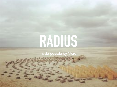# **RADIUS**

made posible by Oerol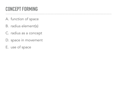### **CONCEPT FORMING**

- A. function of space
- B. radius element(s)
- C. radius as a concept
- D. space in movement
- E. use of space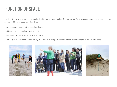#### **FUNCTION OF SPACE**

the function of space had to be established in order to get a clear focus on what Radius was representing in the available set up and how to accommodate that.

- how to make impact in this desolated area
- utilities to accommodate the installation
- how to accommodate the performers/artist

how to get the installation moved by the impact of the participation of the expedition(an initiative by Oerol)

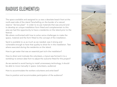#### **RADIUS ELEMENT(S)**

The space available and assigned to us was a desolate beach front at the north-east side of the island Terschelling on the border of a natural reserve "de bos plaat" In order to re-use materials that was around and to develop an unique installation form fitted and complementair to this area we had the opportunity to have a residentie on the island prior to the festival.

We where confronted with how to solve varius challenges to make the space, material and the form fitted to the concept of the installation.

Sand is available to us as much as we needed, was it strong and vulnerable enough to have that quality to show for in the installation. Test where executed during the residentie on the island.

How to get water that was an essential part to/in the installation?

How to direct and motivate the volunteers, a tryout was formed in to a workshop to extract data from to adjust the outcome fitted for this project?

As we wanted to avoid having to install unnecessary technology, it should be able to move manually in space. (volunteers, audience)

How to accommodate the workers volunteers and artist best?

How to position and accommodate participation of the audience?

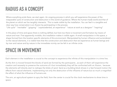#### **RADIUS AS A CONCEPT**

Where everything ends there, we start again. An ongoing process in which you will experience the power of the inseparable cycle of construction and destruction in this world of guidance. Where the human-made world and that of the planet on which we live tangibly intersects. This is made visible by the installation. You can feel in a tangible and clear way how conservation is an illusion by participating in the process.

"Life cycle" "inevitable" "gripping" "unprecedented, an experience" "nature at work as a designer" "inspiring"

In this place of time and space there is nothing defiled, but here too there is movement and formation by means of nature and man. First apparently invisible, this installation makes it visible again. A small manipulation in this space, a shape formed from the location specific elements of this environment. Manipulated by human influence and surrendered to the natural elements, it is visible here that the construction and destruction that we experience as human beings and by man and nature and by nature in the immediate vicinity can be felt in an infinite circle.

#### **SPACE IN MOVEMENT**

Each element in the installation is crucial to the concept to experience the infinite of this manipulation in a time line.

As the Arm is moved forward the blocks of sand are formed by the participants , as each of them will experience the creation and necessity to preserve the outcome of it but immediately they will be confronted with an illusion, because the elements will directly start to reshape the bloks of sand. Sand as a building block shows in a fast forward motion the effects from natural elements. implementing not only the destruction of the influents of nature but so much a magnified the effect of what the influence of humans are.

The arm, an agricultural system to spry the field, from the center is crucial for the clock mechanisme to show time in space.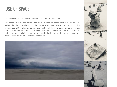#### **USE OF SPACE**

We have established the use of space and therefor it functions.

The space available and assigned to us was a desolate beach front at the north-east side of the island Terschelling on the border of a natural reserve "de bos plaat" The Genius Loci of this place influenced the position of the Installation Radius, where the human world ended and the "preserved" nature reserve started. This was incidental unique to our installation where we also made visible the thin line between a controlled environment versus an uncontrolled environment.



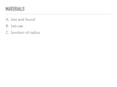#### **MATERIALS**

#### A. lost and found

 $\sim$ 

 $\mathbf{A}$  and  $\mathbf{A}$ 

<u>. . . . . . . . . . . . . . </u>

 $\sim$   $\sim$   $\sim$ 

 $\frac{1}{2}$ 

. . . . . . . . . . . . . . . . . .

- B. (re)-use
- C. function of radius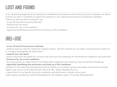### **LOST AND FOUND**

In our developing stage where we already had established varius elements that where part of the installation we where invite for an artist in-residentie to explore the island for in-situ materials and solutions to build the installation. Criteria for what we where looking for was:

- . re-use off stock (from previous festivals)
- . material from the island
- . functional for use in the installation
- . logistically benefitting the performers and build up of the installation

## **(RE)-USE**

#### . re-use off stock (from previous festivals)

- bamboo sticks we used for making the irrigation system, with this material you can make a strong structure made out of triangles hold together by elastic band

. material from the island

- sand on the beach we tested for it function and was found very adequate for the blocks the installation was build from

- . functional for use in the installation
- the wood panels, so called malls for the blocks where assigned to be made by a local wood-shop Eilandbouw.
- . logistically benefitting the performers and build up of the installation
- -transport on the island was provided by Oerol( an Oerlol car to transport goods and people to the beach and back) -bikes to get around on the island where hired from W.L. Zeelen Rijwielverhuur b.v.
- -a festival tent for our benefit during the installation and performance. (shelter and privacy)

-water supply provided by a hydrant (standpipe) for the irrigation system. Proved by Rijkswaterstaat.